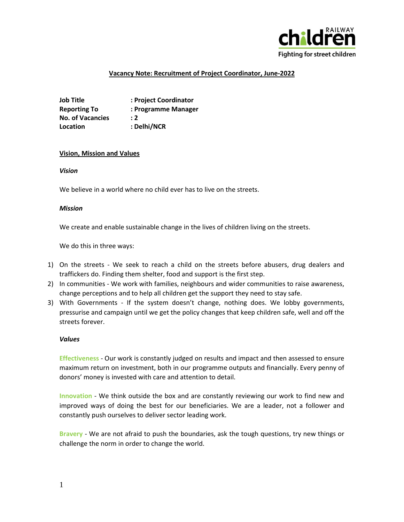

## **Vacancy Note: Recruitment of Project Coordinator, June-2022**

**Job Title : Project Coordinator Reporting To : Programme Manager No. of Vacancies : 2 Location : Delhi/NCR**

#### **Vision, Mission and Values**

*Vision*

We believe in a world where no child ever has to live on the streets.

#### *Mission*

We create and enable sustainable change in the lives of children living on the streets.

We do this in three ways:

- 1) On the streets We seek to reach a child on the streets before abusers, drug dealers and traffickers do. Finding them shelter, food and support is the first step.
- 2) In communities We work with families, neighbours and wider communities to raise awareness, change perceptions and to help all children get the support they need to stay safe.
- 3) With Governments If the system doesn't change, nothing does. We lobby governments, pressurise and campaign until we get the policy changes that keep children safe, well and off the streets forever.

#### *Values*

**Effectiveness** - Our work is constantly judged on results and impact and then assessed to ensure maximum return on investment, both in our programme outputs and financially. Every penny of donors' money is invested with care and attention to detail.

**Innovation** - We think outside the box and are constantly reviewing our work to find new and improved ways of doing the best for our beneficiaries. We are a leader, not a follower and constantly push ourselves to deliver sector leading work.

**Bravery** - We are not afraid to push the boundaries, ask the tough questions, try new things or challenge the norm in order to change the world.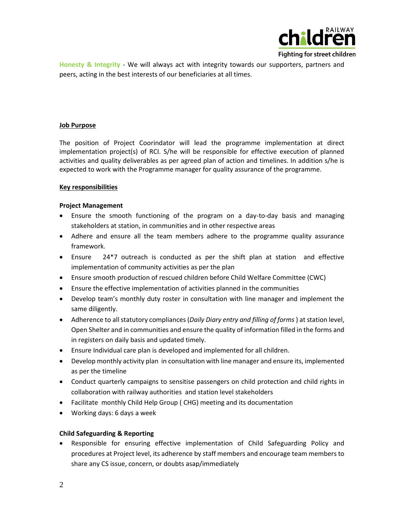

Fighting for street children

**Honesty & Integrity** - We will always act with integrity towards our supporters, partners and peers, acting in the best interests of our beneficiaries at all times.

### **Job Purpose**

The position of Project Coorindator will lead the programme implementation at direct implementation project(s) of RCI. S/he will be responsible for effective execution of planned activities and quality deliverables as per agreed plan of action and timelines. In addition s/he is expected to work with the Programme manager for quality assurance of the programme.

### **Key responsibilities**

### **Project Management**

- Ensure the smooth functioning of the program on a day-to-day basis and managing stakeholders at station, in communities and in other respective areas
- Adhere and ensure all the team members adhere to the programme quality assurance framework.
- Ensure 24\*7 outreach is conducted as per the shift plan at station and effective implementation of community activities as per the plan
- Ensure smooth production of rescued children before Child Welfare Committee (CWC)
- Ensure the effective implementation of activities planned in the communities
- Develop team's monthly duty roster in consultation with line manager and implement the same diligently.
- Adherence to all statutory compliances (*Daily Diary entry and filling of forms* ) at station level, Open Shelter and in communities and ensure the quality of information filled in the forms and in registers on daily basis and updated timely.
- Ensure Individual care plan is developed and implemented for all children.
- Develop monthly activity plan in consultation with line manager and ensure its, implemented as per the timeline
- Conduct quarterly campaigns to sensitise passengers on child protection and child rights in collaboration with railway authorities and station level stakeholders
- Facilitate monthly Child Help Group ( CHG) meeting and its documentation
- Working days: 6 days a week

# **Child Safeguarding & Reporting**

• Responsible for ensuring effective implementation of Child Safeguarding Policy and procedures at Project level, its adherence by staff members and encourage team members to share any CS issue, concern, or doubts asap/immediately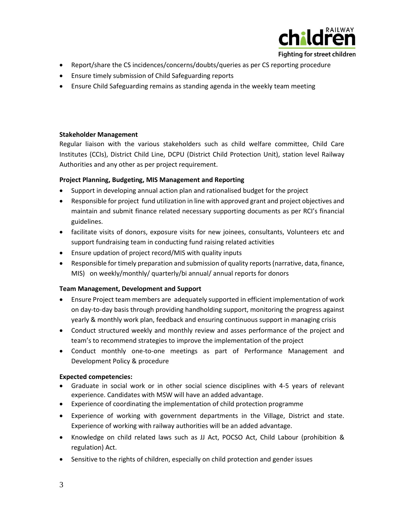

Fighting for street children

- Report/share the CS incidences/concerns/doubts/queries as per CS reporting procedure
- Ensure timely submission of Child Safeguarding reports
- Ensure Child Safeguarding remains as standing agenda in the weekly team meeting

### **Stakeholder Management**

Regular liaison with the various stakeholders such as child welfare committee, Child Care Institutes (CCIs), District Child Line, DCPU (District Child Protection Unit), station level Railway Authorities and any other as per project requirement.

### **Project Planning, Budgeting, MIS Management and Reporting**

- Support in developing annual action plan and rationalised budget for the project
- Responsible for project fund utilization in line with approved grant and project objectives and maintain and submit finance related necessary supporting documents as per RCI's financial guidelines.
- facilitate visits of donors, exposure visits for new joinees, consultants, Volunteers etc and support fundraising team in conducting fund raising related activities
- Ensure updation of project record/MIS with quality inputs
- Responsible for timely preparation and submission of quality reports (narrative, data, finance, MIS) on weekly/monthly/ quarterly/bi annual/ annual reports for donors

### **Team Management, Development and Support**

- Ensure Project team members are adequately supported in efficient implementation of work on day-to-day basis through providing handholding support, monitoring the progress against yearly & monthly work plan, feedback and ensuring continuous support in managing crisis
- Conduct structured weekly and monthly review and asses performance of the project and team's to recommend strategies to improve the implementation of the project
- Conduct monthly one-to-one meetings as part of Performance Management and Development Policy & procedure

### **Expected competencies:**

- Graduate in social work or in other social science disciplines with 4-5 years of relevant experience. Candidates with MSW will have an added advantage.
- Experience of coordinating the implementation of child protection programme
- Experience of working with government departments in the Village, District and state. Experience of working with railway authorities will be an added advantage.
- Knowledge on child related laws such as JJ Act, POCSO Act, Child Labour (prohibition & regulation) Act.
- Sensitive to the rights of children, especially on child protection and gender issues